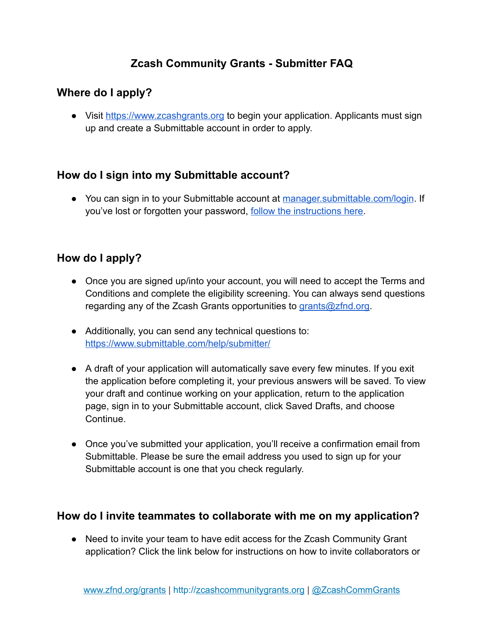# **Zcash Community Grants - Submitter FAQ**

# **Where do I apply?**

● Visit [https://www.zcashgrants.org](https://www.zcashgrants.org/) to begin your application. Applicants must sign up and create a Submittable account in order to apply.

# **How do I sign into my Submittable account?**

● You can sign in to your Submittable account at [manager.submittable.com/login.](https://manager.submittable.com/login) If you've lost or forgotten your password, follow the [instructions here.](https://submittable.help/en/articles/904875-i-forgot-my-password)

# **How do I apply?**

- Once you are signed up/into your account, you will need to accept the Terms and Conditions and complete the eligibility screening. You can always send questions regarding any of the Zcash Grants opportunities to [grants@zfnd.org.](mailto:grants@zfnd.org)
- Additionally, you can send any technical questions to: <https://www.submittable.com/help/submitter/>
- A draft of your application will automatically save every few minutes. If you exit the application before completing it, your previous answers will be saved. To view your draft and continue working on your application, return to the application page, sign in to your Submittable account, click Saved Drafts, and choose Continue.
- Once you've submitted your application, you'll receive a confirmation email from Submittable. Please be sure the email address you used to sign up for your Submittable account is one that you check regularly.

# **How do I invite teammates to collaborate with me on my application?**

• Need to invite your team to have edit access for the Zcash Community Grant application? Click the link below for instructions on how to invite collaborators or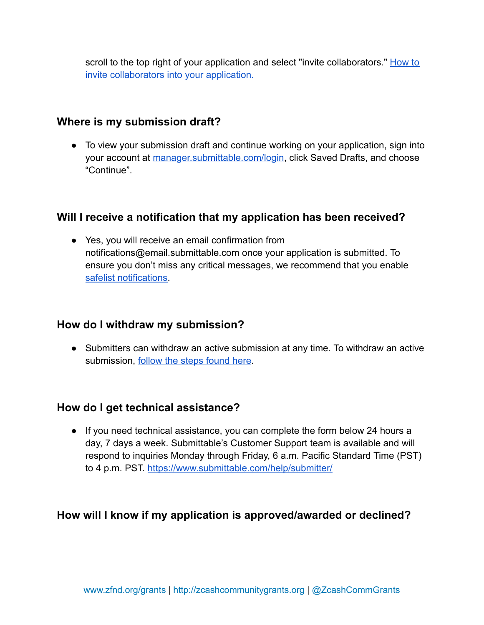scroll to the top right of your application and select "invite collaborators." [How to](https://submittable.help/en/articles/3654810-how-can-i-invite-people-to-collaborate-with-me-on-a-submission) [invite collaborators into your application](https://submittable.help/en/articles/3654810-how-can-i-invite-people-to-collaborate-with-me-on-a-submission).

### **Where is my submission draft?**

● To view your submission draft and continue working on your application, sign into your account at [manager.submittable.com/login](https://manager.submittable.com/login), click Saved Drafts, and choose "Continue".

### **Will I receive a notification that my application has been received?**

● Yes, you will receive an email confirmation from notifications@email.submittable.com once your application is submitted. To ensure you don't miss any critical messages, we recommend that you enable [safelist notifications](https://submittable.help/en/articles/3221476-how-can-i-safelist-notification-emails-from-submittable).

#### **How do I withdraw my submission?**

● Submitters can withdraw an active submission at any time. To withdraw an active submission, [follow the steps found here](https://submittable.help/en/articles/904887-how-do-i-withdraw-my-submission-s).

# **How do I get technical assistance?**

● If you need technical assistance, you can complete the form below 24 hours a day, 7 days a week. Submittable's Customer Support team is available and will respond to inquiries Monday through Friday, 6 a.m. Pacific Standard Time (PST) to 4 p.m. PST. <https://www.submittable.com/help/submitter/>

# **How will I know if my application is approved/awarded or declined?**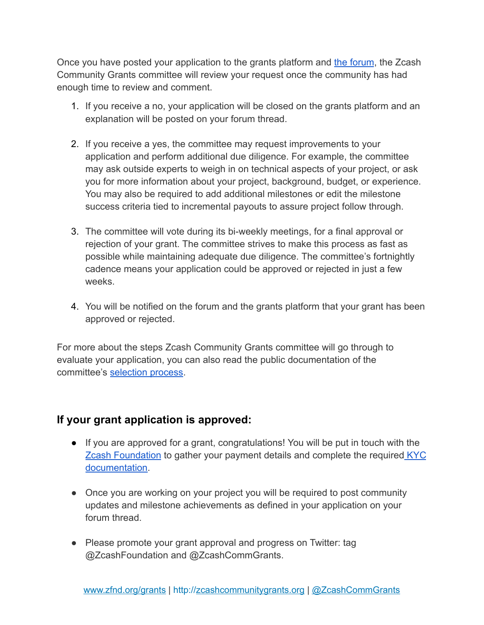Once you have posted your application to the grants platform and [the forum](https://forum.zcashcommunity.com/), the Zcash Community Grants committee will review your request once the community has had enough time to review and comment.

- 1. If you receive a no, your application will be closed on the grants platform and an explanation will be posted on your forum thread.
- 2. If you receive a yes, the committee may request improvements to your application and perform additional due diligence. For example, the committee may ask outside experts to weigh in on technical aspects of your project, or ask you for more information about your project, background, budget, or experience. You may also be required to add additional milestones or edit the milestone success criteria tied to incremental payouts to assure project follow through.
- 3. The committee will vote during its bi-weekly meetings, for a final approval or rejection of your grant. The committee strives to make this process as fast as possible while maintaining adequate due diligence. The committee's fortnightly cadence means your application could be approved or rejected in just a few weeks.
- 4. You will be notified on the forum and the grants platform that your grant has been approved or rejected.

For more about the steps Zcash Community Grants committee will go through to evaluate your application, you can also read the public documentation of the committee's [selection process.](https://zcashcommunitygrants.org/)

# **If your grant application is approved:**

- If you are approved for a grant, congratulations! You will be put in touch with th[e](https://www.zfnd.org/) **[Zcash Foundation](https://www.zfnd.org/)** to gather your payment details and complete the required **[KYC](https://zfnd.org/kyc-policy-abbreviated/)** [documentation.](https://zfnd.org/kyc-policy-abbreviated/)
- Once you are working on your project you will be required to post community updates and milestone achievements as defined in your application on your forum thread.
- Please promote your grant approval and progress on Twitter: tag @ZcashFoundation and @ZcashCommGrants.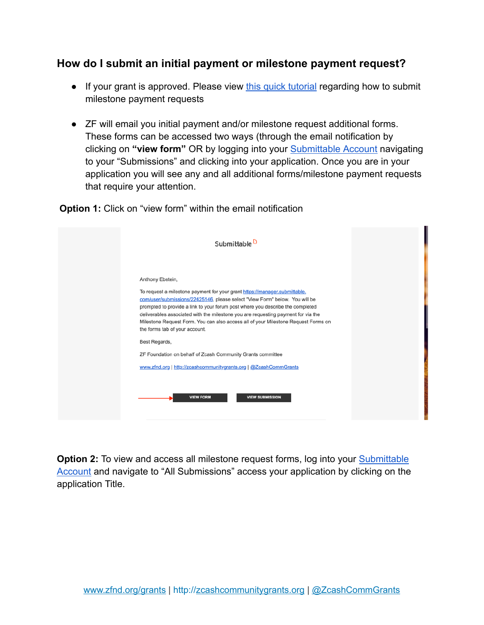# **How do I submit an initial payment or milestone payment request?**

- If your grant is approved. Please view [this quick tutorial](https://res.cloudinary.com/zcash-foundation/video/upload/v1645477297/Milestone_Request_For_Tutorial_b5rxsz.mp4) regarding how to submit milestone payment requests
- ZF will email you initial payment and/or milestone request additional forms. These forms can be accessed two ways (through the email notification by clicking on **"view form"** OR by logging into your [Submittable](https://manager.submittable.com/login) Account navigating to your "Submissions" and clicking into your application. Once you are in your application you will see any and all additional forms/milestone payment requests that require your attention.

**Option 1:** Click on "view form" within the email notification

| Submittable <sup>D</sup>                                                                                                                                                                                                                                                                                                                                                                                                                                                     |  |
|------------------------------------------------------------------------------------------------------------------------------------------------------------------------------------------------------------------------------------------------------------------------------------------------------------------------------------------------------------------------------------------------------------------------------------------------------------------------------|--|
| Anthony Ebstein,<br>To request a milestone payment for your grant https://manager.submittable.<br>com/user/submissions/22425146, please select "View Form" below. You will be<br>prompted to provide a link to your forum post where you describe the completed<br>deliverables associated with the milestone you are requesting payment for via the<br>Milestone Request Form. You can also access all of your Milestone Request Forms on<br>the forms tab of your account. |  |
| Best Regards,                                                                                                                                                                                                                                                                                                                                                                                                                                                                |  |
| ZF Foundation on behalf of Zcash Community Grants committee                                                                                                                                                                                                                                                                                                                                                                                                                  |  |
| www.zfnd.org   http://zcashcommunitygrants.org   @ZcashCommGrants                                                                                                                                                                                                                                                                                                                                                                                                            |  |
| <b>VIEW FORM</b><br><b>VIEW SUBMISSION</b>                                                                                                                                                                                                                                                                                                                                                                                                                                   |  |

**Option 2:** To view and access all milestone request forms, log into your [Submittable](https://manager.submittable.com/login) [Account](https://manager.submittable.com/login) and navigate to "All Submissions" access your application by clicking on the application Title.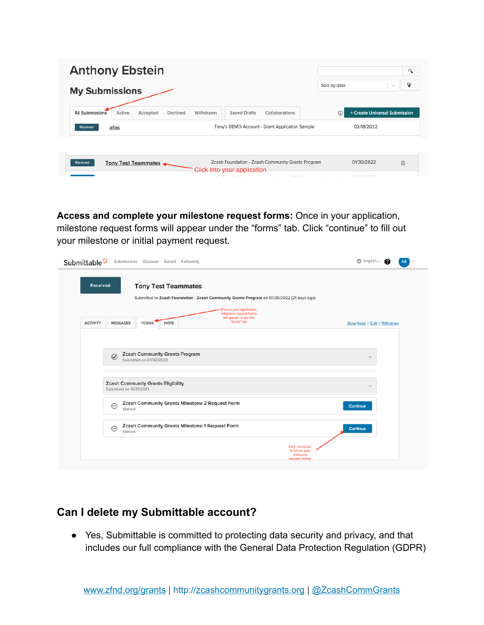| <b>Anthony Ebstein</b>                                                                                              |                                      | $\alpha$ |
|---------------------------------------------------------------------------------------------------------------------|--------------------------------------|----------|
| <b>My Submissions</b>                                                                                               | Sort by date<br>$\sim$               | ₽        |
| <b>All Submissions</b><br>Active<br>Accepted<br>Withdrawn<br><b>Saved Drafts</b><br>Collaborations<br>Declined      | + Create Universal Submission<br>(i) |          |
| Tony's DEMO Account - Grant Application Sample<br><b>Received</b><br>afas                                           | 02/18/2022                           |          |
|                                                                                                                     |                                      |          |
| Zcash Foundation - Zcash Community Grants Program<br>Received<br>Tony Test Teammates<br>Click into your application | 01/30/2022<br>自                      |          |
|                                                                                                                     |                                      |          |

**Access and complete your milestone request forms:** Once in your application, milestone request forms will appear under the "forms" tab. Click "continue" to fill out your milestone or initial payment request.

| Submittable <sup>D</sup><br>Submissions Discover Saved Following                                                                                                  | $\bigoplus$ English $\vee$<br>AE |
|-------------------------------------------------------------------------------------------------------------------------------------------------------------------|----------------------------------|
| Received<br><b>Tony Test Teammates</b>                                                                                                                            |                                  |
| Submitted to Zcash Foundation - Zcash Community Grants Program on 01/30/2022 (21 days ago)                                                                        |                                  |
| Once in your application,<br>milestone request forms<br>will appear under the<br>"forms" tab<br><b>NOTE</b><br><b>ACTIVITY</b><br><b>MESSAGES</b><br><b>FORMS</b> | Download   Edit   Withdraw       |
|                                                                                                                                                                   |                                  |
| <b>Zcash Community Grants Program</b><br>⊘<br>Submitted on 01/30/2022                                                                                             | $\checkmark$                     |
| <b>Zcash Community Grants Eligibility</b><br>Submitted on 12/21/2021                                                                                              | $\checkmark$                     |
| Zcash Community Grants Milestone 2 Request Form<br>$\odot$<br>Started                                                                                             | <b>Continue</b>                  |
| Zcash Community Grants Milestone 1 Request Form<br>$_{\odot}$<br>Started                                                                                          | <b>Continue</b>                  |
| Click "continue"<br>To fill out your<br>milestone<br>request form(s)                                                                                              |                                  |

#### **Can I delete my Submittable account?**

● Yes, Submittable is committed to protecting data security and privacy, and that includes our full compliance with the General Data Protection Regulation (GDPR)